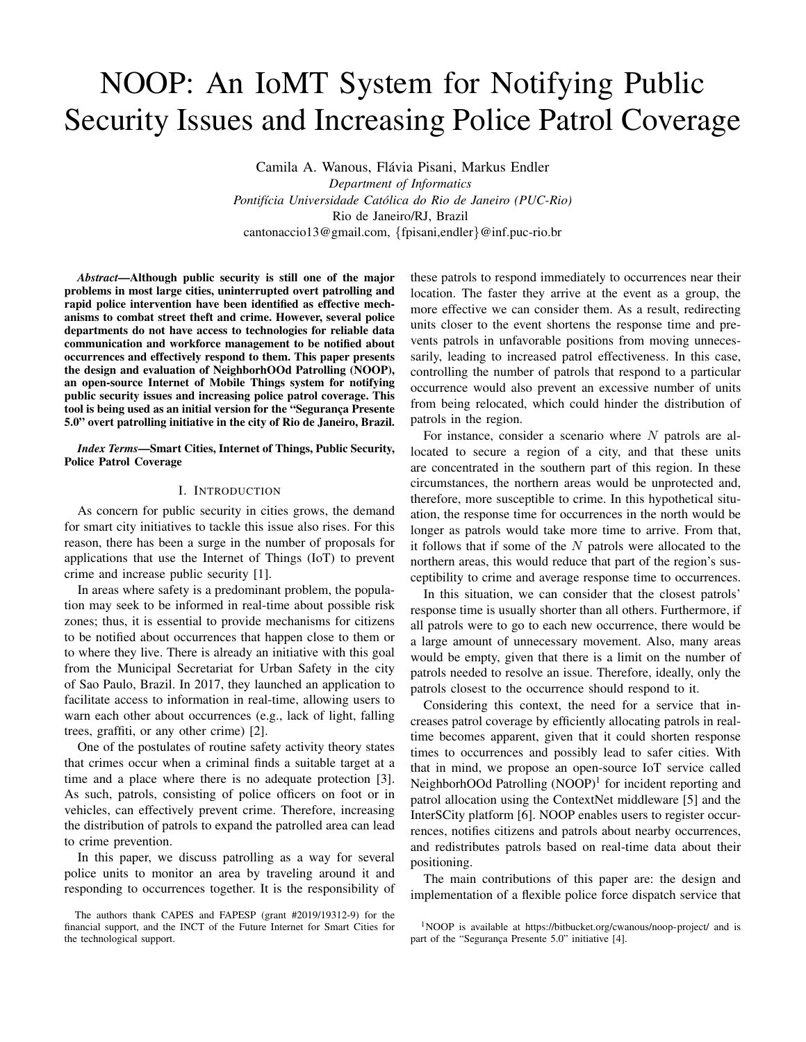# NOOP: An IoMT System for Notifying Public Security Issues and Increasing Police Patrol Coverage

Camila A. Wanous, Flávia Pisani, Markus Endler *Department of Informatics Pontif´ıcia Universidade Catolica do Rio de Janeiro (PUC-Rio) ´* Rio de Janeiro/RJ, Brazil cantonaccio13@gmail.com, {fpisani,endler}@inf.puc-rio.br

*Abstract*—Although public security is still one of the major problems in most large cities, uninterrupted overt patrolling and rapid police intervention have been identified as effective mechanisms to combat street theft and crime. However, several police departments do not have access to technologies for reliable data communication and workforce management to be notified about occurrences and effectively respond to them. This paper presents the design and evaluation of NeighborhOOd Patrolling (NOOP), an open-source Internet of Mobile Things system for notifying public security issues and increasing police patrol coverage. This tool is being used as an initial version for the "Segurança Presente 5.0" overt patrolling initiative in the city of Rio de Janeiro, Brazil.

#### *Index Terms*—Smart Cities, Internet of Things, Public Security, Police Patrol Coverage

## I. INTRODUCTION

As concern for public security in cities grows, the demand for smart city initiatives to tackle this issue also rises. For this reason, there has been a surge in the number of proposals for applications that use the Internet of Things (IoT) to prevent crime and increase public security [1].

In areas where safety is a predominant problem, the population may seek to be informed in real-time about possible risk zones; thus, it is essential to provide mechanisms for citizens to be notified about occurrences that happen close to them or to where they live. There is already an initiative with this goal from the Municipal Secretariat for Urban Safety in the city of Sao Paulo, Brazil. In 2017, they launched an application to facilitate access to information in real-time, allowing users to warn each other about occurrences (e.g., lack of light, falling trees, graffiti, or any other crime) [2].

One of the postulates of routine safety activity theory states that crimes occur when a criminal finds a suitable target at a time and a place where there is no adequate protection [3]. As such, patrols, consisting of police officers on foot or in vehicles, can effectively prevent crime. Therefore, increasing the distribution of patrols to expand the patrolled area can lead to crime prevention.

In this paper, we discuss patrolling as a way for several police units to monitor an area by traveling around it and responding to occurrences together. It is the responsibility of these patrols to respond immediately to occurrences near their location. The faster they arrive at the event as a group, the more effective we can consider them. As a result, redirecting units closer to the event shortens the response time and prevents patrols in unfavorable positions from moving unnecessarily, leading to increased patrol effectiveness. In this case, controlling the number of patrols that respond to a particular occurrence would also prevent an excessive number of units from being relocated, which could hinder the distribution of patrols in the region.

For instance, consider a scenario where  $N$  patrols are allocated to secure a region of a city, and that these units are concentrated in the southern part of this region. In these circumstances, the northern areas would be unprotected and, therefore, more susceptible to crime. In this hypothetical situation, the response time for occurrences in the north would be longer as patrols would take more time to arrive. From that, it follows that if some of the  $N$  patrols were allocated to the northern areas, this would reduce that part of the region's susceptibility to crime and average response time to occurrences.

In this situation, we can consider that the closest patrols' response time is usually shorter than all others. Furthermore, if all patrols were to go to each new occurrence, there would be a large amount of unnecessary movement. Also, many areas would be empty, given that there is a limit on the number of patrols needed to resolve an issue. Therefore, ideally, only the patrols closest to the occurrence should respond to it.

Considering this context, the need for a service that increases patrol coverage by efficiently allocating patrols in realtime becomes apparent, given that it could shorten response times to occurrences and possibly lead to safer cities. With that in mind, we propose an open-source IoT service called NeighborhOOd Patrolling (NOOP)<sup>1</sup> for incident reporting and patrol allocation using the ContextNet middleware [5] and the InterSCity platform [6]. NOOP enables users to register occurrences, notifies citizens and patrols about nearby occurrences, and redistributes patrols based on real-time data about their positioning.

The main contributions of this paper are: the design and implementation of a flexible police force dispatch service that

The authors thank CAPES and FAPESP (grant #2019/19312-9) for the financial support, and the INCT of the Future Internet for Smart Cities for the technological support.

<sup>&</sup>lt;sup>1</sup>NOOP is available at https://bitbucket.org/cwanous/noop-project/ and is part of the "Segurança Presente 5.0" initiative [4].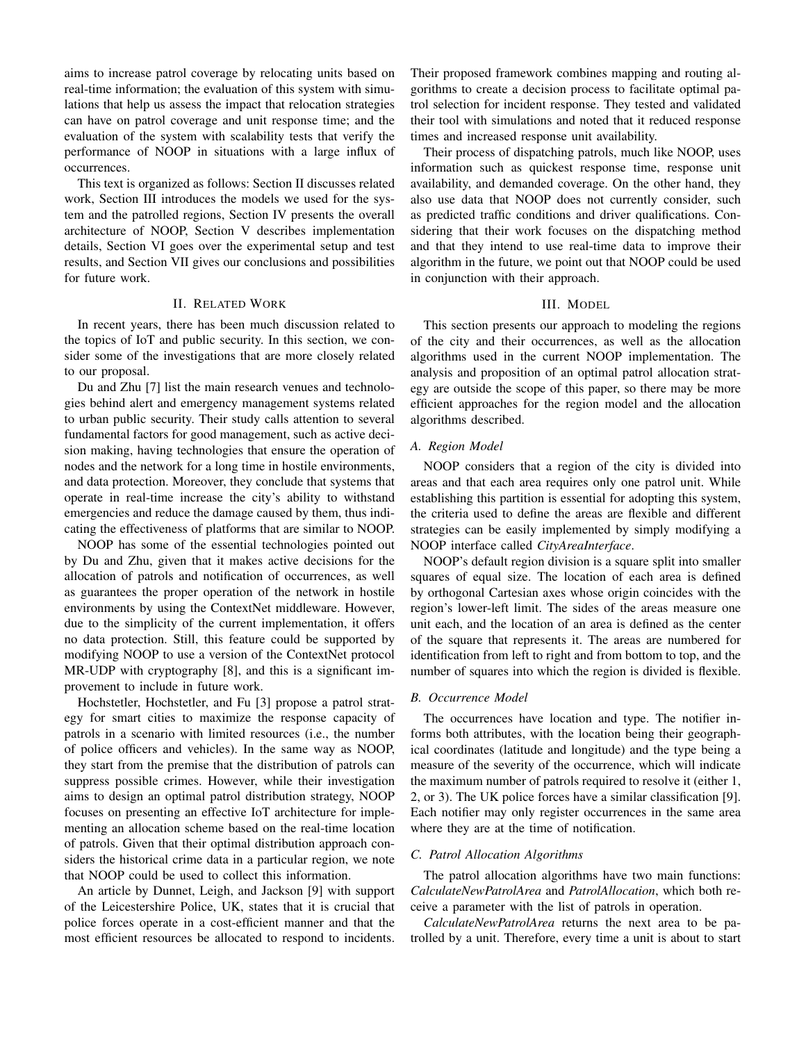aims to increase patrol coverage by relocating units based on real-time information; the evaluation of this system with simulations that help us assess the impact that relocation strategies can have on patrol coverage and unit response time; and the evaluation of the system with scalability tests that verify the performance of NOOP in situations with a large influx of occurrences.

This text is organized as follows: Section II discusses related work, Section III introduces the models we used for the system and the patrolled regions, Section IV presents the overall architecture of NOOP, Section V describes implementation details, Section VI goes over the experimental setup and test results, and Section VII gives our conclusions and possibilities for future work.

# II. RELATED WORK

In recent years, there has been much discussion related to the topics of IoT and public security. In this section, we consider some of the investigations that are more closely related to our proposal.

Du and Zhu [7] list the main research venues and technologies behind alert and emergency management systems related to urban public security. Their study calls attention to several fundamental factors for good management, such as active decision making, having technologies that ensure the operation of nodes and the network for a long time in hostile environments, and data protection. Moreover, they conclude that systems that operate in real-time increase the city's ability to withstand emergencies and reduce the damage caused by them, thus indicating the effectiveness of platforms that are similar to NOOP.

NOOP has some of the essential technologies pointed out by Du and Zhu, given that it makes active decisions for the allocation of patrols and notification of occurrences, as well as guarantees the proper operation of the network in hostile environments by using the ContextNet middleware. However, due to the simplicity of the current implementation, it offers no data protection. Still, this feature could be supported by modifying NOOP to use a version of the ContextNet protocol MR-UDP with cryptography [8], and this is a significant improvement to include in future work.

Hochstetler, Hochstetler, and Fu [3] propose a patrol strategy for smart cities to maximize the response capacity of patrols in a scenario with limited resources (i.e., the number of police officers and vehicles). In the same way as NOOP, they start from the premise that the distribution of patrols can suppress possible crimes. However, while their investigation aims to design an optimal patrol distribution strategy, NOOP focuses on presenting an effective IoT architecture for implementing an allocation scheme based on the real-time location of patrols. Given that their optimal distribution approach considers the historical crime data in a particular region, we note that NOOP could be used to collect this information.

An article by Dunnet, Leigh, and Jackson [9] with support of the Leicestershire Police, UK, states that it is crucial that police forces operate in a cost-efficient manner and that the most efficient resources be allocated to respond to incidents. Their proposed framework combines mapping and routing algorithms to create a decision process to facilitate optimal patrol selection for incident response. They tested and validated their tool with simulations and noted that it reduced response times and increased response unit availability.

Their process of dispatching patrols, much like NOOP, uses information such as quickest response time, response unit availability, and demanded coverage. On the other hand, they also use data that NOOP does not currently consider, such as predicted traffic conditions and driver qualifications. Considering that their work focuses on the dispatching method and that they intend to use real-time data to improve their algorithm in the future, we point out that NOOP could be used in conjunction with their approach.

#### III. MODEL

This section presents our approach to modeling the regions of the city and their occurrences, as well as the allocation algorithms used in the current NOOP implementation. The analysis and proposition of an optimal patrol allocation strategy are outside the scope of this paper, so there may be more efficient approaches for the region model and the allocation algorithms described.

## *A. Region Model*

NOOP considers that a region of the city is divided into areas and that each area requires only one patrol unit. While establishing this partition is essential for adopting this system, the criteria used to define the areas are flexible and different strategies can be easily implemented by simply modifying a NOOP interface called *CityAreaInterface*.

NOOP's default region division is a square split into smaller squares of equal size. The location of each area is defined by orthogonal Cartesian axes whose origin coincides with the region's lower-left limit. The sides of the areas measure one unit each, and the location of an area is defined as the center of the square that represents it. The areas are numbered for identification from left to right and from bottom to top, and the number of squares into which the region is divided is flexible.

#### *B. Occurrence Model*

The occurrences have location and type. The notifier informs both attributes, with the location being their geographical coordinates (latitude and longitude) and the type being a measure of the severity of the occurrence, which will indicate the maximum number of patrols required to resolve it (either 1, 2, or 3). The UK police forces have a similar classification [9]. Each notifier may only register occurrences in the same area where they are at the time of notification.

# *C. Patrol Allocation Algorithms*

The patrol allocation algorithms have two main functions: *CalculateNewPatrolArea* and *PatrolAllocation*, which both receive a parameter with the list of patrols in operation.

*CalculateNewPatrolArea* returns the next area to be patrolled by a unit. Therefore, every time a unit is about to start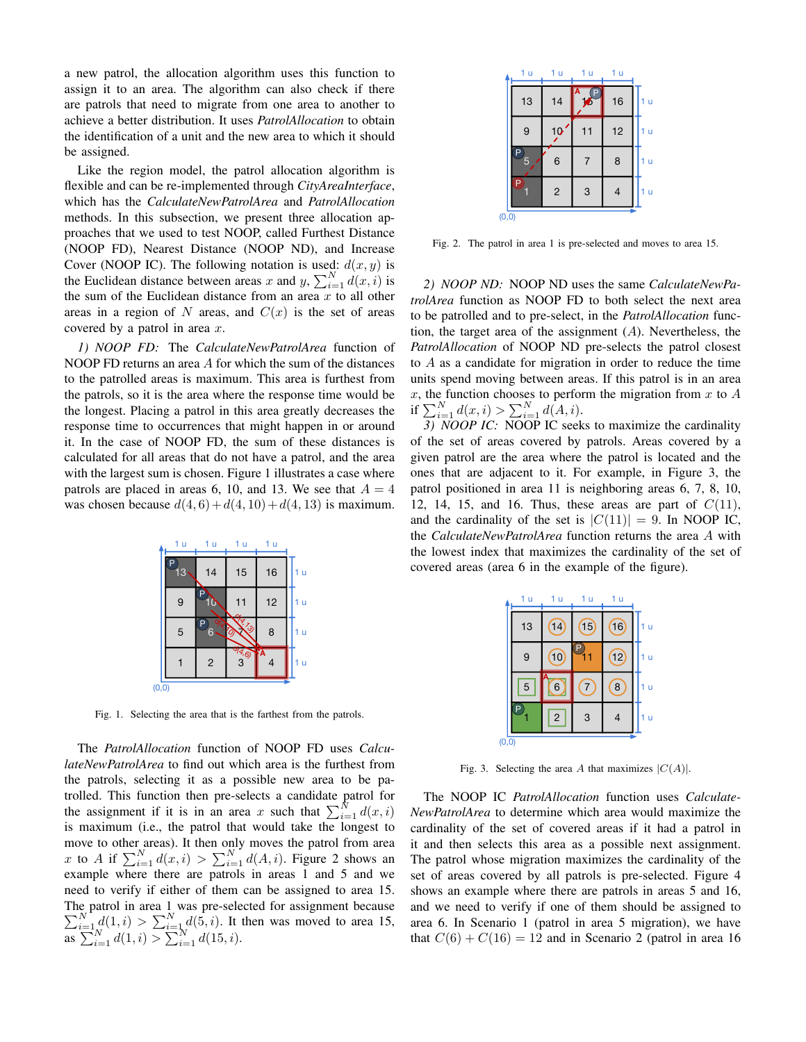a new patrol, the allocation algorithm uses this function to assign it to an area. The algorithm can also check if there are patrols that need to migrate from one area to another to achieve a better distribution. It uses *PatrolAllocation* to obtain the identification of a unit and the new area to which it should be assigned.

Like the region model, the patrol allocation algorithm is flexible and can be re-implemented through *CityAreaInterface*, which has the *CalculateNewPatrolArea* and *PatrolAllocation* methods. In this subsection, we present three allocation approaches that we used to test NOOP, called Furthest Distance (NOOP FD), Nearest Distance (NOOP ND), and Increase Cover (NOOP IC). The following notation is used:  $d(x, y)$  is the Euclidean distance between areas x and y,  $\sum_{i=1}^{N} d(x, i)$  is the sum of the Euclidean distance from an area  $\overline{x}$  to all other areas in a region of N areas, and  $C(x)$  is the set of areas covered by a patrol in area  $x$ .

*1) NOOP FD:* The *CalculateNewPatrolArea* function of NOOP FD returns an area A for which the sum of the distances to the patrolled areas is maximum. This area is furthest from the patrols, so it is the area where the response time would be the longest. Placing a patrol in this area greatly decreases the response time to occurrences that might happen in or around it. In the case of NOOP FD, the sum of these distances is calculated for all areas that do not have a patrol, and the area with the largest sum is chosen. Figure 1 illustrates a case where patrols are placed in areas 6, 10, and 13. We see that  $A = 4$ was chosen because  $d(4, 6) + d(4, 10) + d(4, 13)$  is maximum.



Fig. 1. Selecting the area that is the farthest from the patrols.

The *PatrolAllocation* function of NOOP FD uses *CalculateNewPatrolArea* to find out which area is the furthest from the patrols, selecting it as a possible new area to be patrolled. This function then pre-selects a candidate patrol for the assignment if it is in an area x such that  $\sum_{i=1}^{N} d(x, i)$ is maximum (i.e., the patrol that would take the longest to move to other areas). It then only moves the patrol from area x to A if  $\sum_{i=1}^{N} d(x, i) > \sum_{i=1}^{N} d(A, i)$ . Figure 2 shows an example where there are patrols in areas 1 and 5 and we need to verify if either of them can be assigned to area 15. The patrol in area 1 was pre-selected for assignment because  $\sum_{i=1}^{N} d(1,i) > \sum_{i=1}^{N} d(5,i)$ . It then was moved to area 15, as  $\sum_{i=1}^{N} d(1, i) > \sum_{i=1}^{N} d(15, i).$ 



Fig. 2. The patrol in area 1 is pre-selected and moves to area 15.

*2) NOOP ND:* NOOP ND uses the same *CalculateNewPatrolArea* function as NOOP FD to both select the next area to be patrolled and to pre-select, in the *PatrolAllocation* function, the target area of the assignment  $(A)$ . Nevertheless, the *PatrolAllocation* of NOOP ND pre-selects the patrol closest to A as a candidate for migration in order to reduce the time units spend moving between areas. If this patrol is in an area  $x$ , the function chooses to perform the migration from  $x$  to  $A$ if  $\sum_{i=1}^{N} d(x, i) > \sum_{i=1}^{N} d(A, i)$ .

*3) NOOP IC:* NOOP IC seeks to maximize the cardinality of the set of areas covered by patrols. Areas covered by a given patrol are the area where the patrol is located and the ones that are adjacent to it. For example, in Figure 3, the patrol positioned in area 11 is neighboring areas 6, 7, 8, 10, 12, 14, 15, and 16. Thus, these areas are part of  $C(11)$ , and the cardinality of the set is  $|C(11)| = 9$ . In NOOP IC, the *CalculateNewPatrolArea* function returns the area A with the lowest index that maximizes the cardinality of the set of covered areas (area 6 in the example of the figure).

| 1 u    | 1 u            | 1 u               | 1 u             |                |
|--------|----------------|-------------------|-----------------|----------------|
| 13     | 14             | $\left(15\right)$ | 16              | 1 u            |
| 9      | 10             | ♦                 | $\overline{12}$ | 1 <sub>u</sub> |
| 5      | 6              | 7                 | 8               | 1 u            |
| P      | $\overline{c}$ | 3                 |                 | 1 u            |
| (0, 0) |                |                   |                 |                |

Fig. 3. Selecting the area A that maximizes  $|C(A)|$ .

The NOOP IC *PatrolAllocation* function uses *Calculate-NewPatrolArea* to determine which area would maximize the cardinality of the set of covered areas if it had a patrol in it and then selects this area as a possible next assignment. The patrol whose migration maximizes the cardinality of the set of areas covered by all patrols is pre-selected. Figure 4 shows an example where there are patrols in areas 5 and 16, and we need to verify if one of them should be assigned to area 6. In Scenario 1 (patrol in area 5 migration), we have that  $C(6) + C(16) = 12$  and in Scenario 2 (patrol in area 16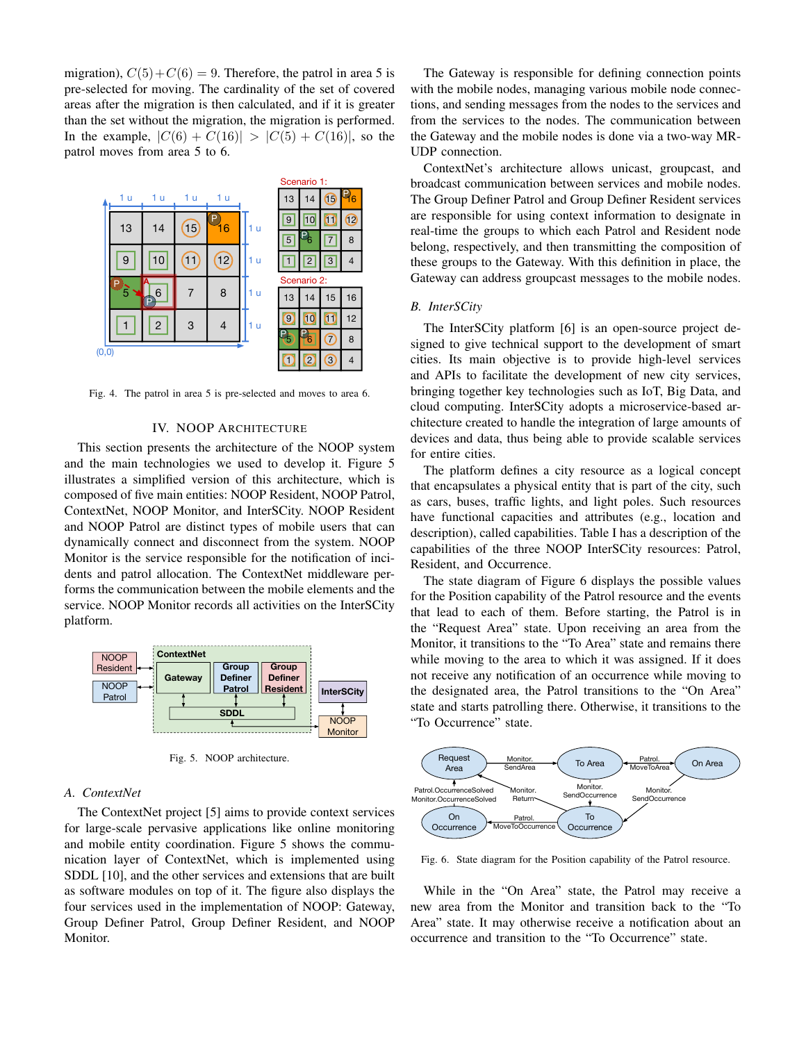migration),  $C(5) + C(6) = 9$ . Therefore, the patrol in area 5 is pre-selected for moving. The cardinality of the set of covered areas after the migration is then calculated, and if it is greater than the set without the migration, the migration is performed. In the example,  $|C(6) + C(16)| > |C(5) + C(16)|$ , so the patrol moves from area 5 to 6.



Fig. 4. The patrol in area 5 is pre-selected and moves to area 6.

# IV. NOOP ARCHITECTURE

This section presents the architecture of the NOOP system and the main technologies we used to develop it. Figure 5 illustrates a simplified version of this architecture, which is composed of five main entities: NOOP Resident, NOOP Patrol, ContextNet, NOOP Monitor, and InterSCity. NOOP Resident and NOOP Patrol are distinct types of mobile users that can dynamically connect and disconnect from the system. NOOP Monitor is the service responsible for the notification of incidents and patrol allocation. The ContextNet middleware performs the communication between the mobile elements and the service. NOOP Monitor records all activities on the InterSCity platform.



Fig. 5. NOOP architecture.

## *A. ContextNet*

The ContextNet project [5] aims to provide context services for large-scale pervasive applications like online monitoring and mobile entity coordination. Figure 5 shows the communication layer of ContextNet, which is implemented using SDDL [10], and the other services and extensions that are built as software modules on top of it. The figure also displays the four services used in the implementation of NOOP: Gateway, Group Definer Patrol, Group Definer Resident, and NOOP Monitor.

The Gateway is responsible for defining connection points with the mobile nodes, managing various mobile node connections, and sending messages from the nodes to the services and from the services to the nodes. The communication between the Gateway and the mobile nodes is done via a two-way MR-UDP connection.

ContextNet's architecture allows unicast, groupcast, and broadcast communication between services and mobile nodes. The Group Definer Patrol and Group Definer Resident services are responsible for using context information to designate in real-time the groups to which each Patrol and Resident node belong, respectively, and then transmitting the composition of these groups to the Gateway. With this definition in place, the Gateway can address groupcast messages to the mobile nodes.

## *B. InterSCity*

The InterSCity platform [6] is an open-source project designed to give technical support to the development of smart cities. Its main objective is to provide high-level services and APIs to facilitate the development of new city services, bringing together key technologies such as IoT, Big Data, and cloud computing. InterSCity adopts a microservice-based architecture created to handle the integration of large amounts of devices and data, thus being able to provide scalable services for entire cities.

The platform defines a city resource as a logical concept that encapsulates a physical entity that is part of the city, such as cars, buses, traffic lights, and light poles. Such resources have functional capacities and attributes (e.g., location and description), called capabilities. Table I has a description of the capabilities of the three NOOP InterSCity resources: Patrol, Resident, and Occurrence.

The state diagram of Figure 6 displays the possible values for the Position capability of the Patrol resource and the events that lead to each of them. Before starting, the Patrol is in the "Request Area" state. Upon receiving an area from the Monitor, it transitions to the "To Area" state and remains there while moving to the area to which it was assigned. If it does not receive any notification of an occurrence while moving to the designated area, the Patrol transitions to the "On Area" state and starts patrolling there. Otherwise, it transitions to the "To Occurrence" state.



Fig. 6. State diagram for the Position capability of the Patrol resource.

While in the "On Area" state, the Patrol may receive a new area from the Monitor and transition back to the "To Area" state. It may otherwise receive a notification about an occurrence and transition to the "To Occurrence" state.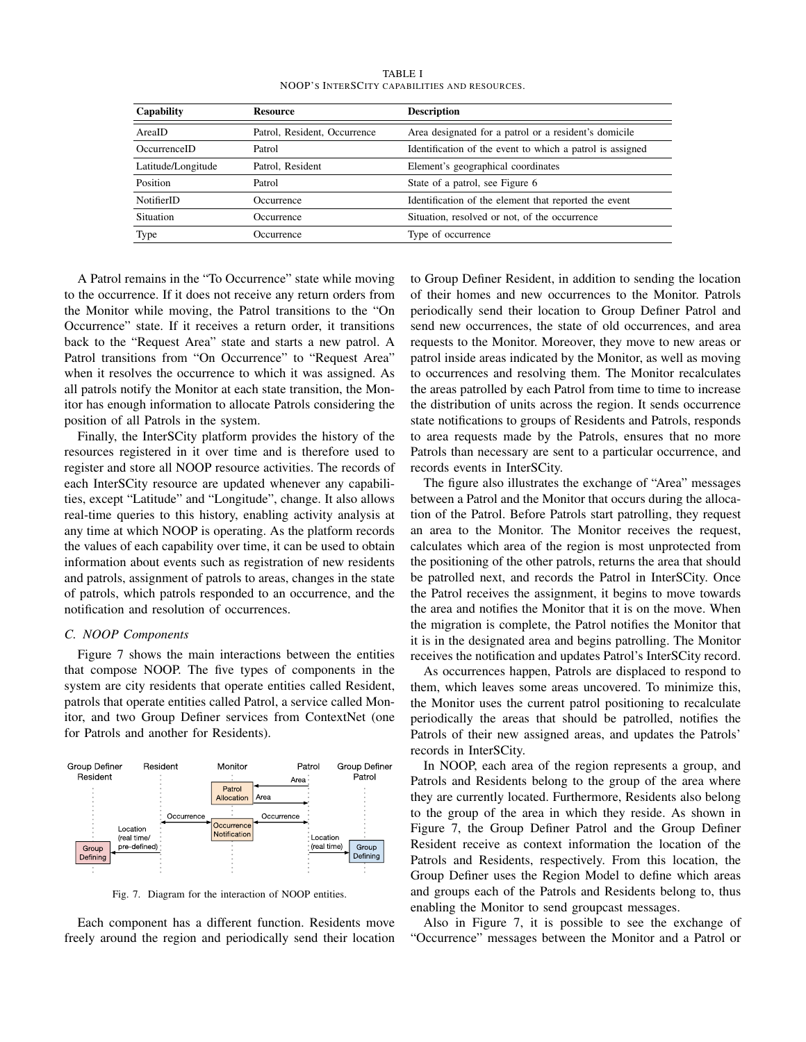| Capability<br><b>Resource</b> |                              | <b>Description</b>                                        |  |
|-------------------------------|------------------------------|-----------------------------------------------------------|--|
| AreaID                        | Patrol, Resident, Occurrence | Area designated for a patrol or a resident's domicile     |  |
| OccurrenceID                  | Patrol                       | Identification of the event to which a patrol is assigned |  |
| Latitude/Longitude            | Patrol, Resident             | Element's geographical coordinates                        |  |
| Position                      | Patrol                       | State of a patrol, see Figure 6                           |  |
| <b>NotifierID</b>             | Occurrence                   | Identification of the element that reported the event     |  |
| Situation                     | Occurrence                   | Situation, resolved or not, of the occurrence             |  |
| Type                          | Occurrence                   | Type of occurrence                                        |  |

TABLE I NOOP'S INTERSCITY CAPABILITIES AND RESOURCES.

A Patrol remains in the "To Occurrence" state while moving to the occurrence. If it does not receive any return orders from the Monitor while moving, the Patrol transitions to the "On Occurrence" state. If it receives a return order, it transitions back to the "Request Area" state and starts a new patrol. A Patrol transitions from "On Occurrence" to "Request Area" when it resolves the occurrence to which it was assigned. As all patrols notify the Monitor at each state transition, the Monitor has enough information to allocate Patrols considering the position of all Patrols in the system.

Finally, the InterSCity platform provides the history of the resources registered in it over time and is therefore used to register and store all NOOP resource activities. The records of each InterSCity resource are updated whenever any capabilities, except "Latitude" and "Longitude", change. It also allows real-time queries to this history, enabling activity analysis at any time at which NOOP is operating. As the platform records the values of each capability over time, it can be used to obtain information about events such as registration of new residents and patrols, assignment of patrols to areas, changes in the state of patrols, which patrols responded to an occurrence, and the notification and resolution of occurrences.

#### *C. NOOP Components*

Figure 7 shows the main interactions between the entities that compose NOOP. The five types of components in the system are city residents that operate entities called Resident, patrols that operate entities called Patrol, a service called Monitor, and two Group Definer services from ContextNet (one for Patrols and another for Residents).



Fig. 7. Diagram for the interaction of NOOP entities.

Each component has a different function. Residents move freely around the region and periodically send their location to Group Definer Resident, in addition to sending the location of their homes and new occurrences to the Monitor. Patrols periodically send their location to Group Definer Patrol and send new occurrences, the state of old occurrences, and area requests to the Monitor. Moreover, they move to new areas or patrol inside areas indicated by the Monitor, as well as moving to occurrences and resolving them. The Monitor recalculates the areas patrolled by each Patrol from time to time to increase the distribution of units across the region. It sends occurrence state notifications to groups of Residents and Patrols, responds to area requests made by the Patrols, ensures that no more Patrols than necessary are sent to a particular occurrence, and records events in InterSCity.

The figure also illustrates the exchange of "Area" messages between a Patrol and the Monitor that occurs during the allocation of the Patrol. Before Patrols start patrolling, they request an area to the Monitor. The Monitor receives the request, calculates which area of the region is most unprotected from the positioning of the other patrols, returns the area that should be patrolled next, and records the Patrol in InterSCity. Once the Patrol receives the assignment, it begins to move towards the area and notifies the Monitor that it is on the move. When the migration is complete, the Patrol notifies the Monitor that it is in the designated area and begins patrolling. The Monitor receives the notification and updates Patrol's InterSCity record.

As occurrences happen, Patrols are displaced to respond to them, which leaves some areas uncovered. To minimize this, the Monitor uses the current patrol positioning to recalculate periodically the areas that should be patrolled, notifies the Patrols of their new assigned areas, and updates the Patrols' records in InterSCity.

In NOOP, each area of the region represents a group, and Patrols and Residents belong to the group of the area where they are currently located. Furthermore, Residents also belong to the group of the area in which they reside. As shown in Figure 7, the Group Definer Patrol and the Group Definer Resident receive as context information the location of the Patrols and Residents, respectively. From this location, the Group Definer uses the Region Model to define which areas and groups each of the Patrols and Residents belong to, thus enabling the Monitor to send groupcast messages.

Also in Figure 7, it is possible to see the exchange of "Occurrence" messages between the Monitor and a Patrol or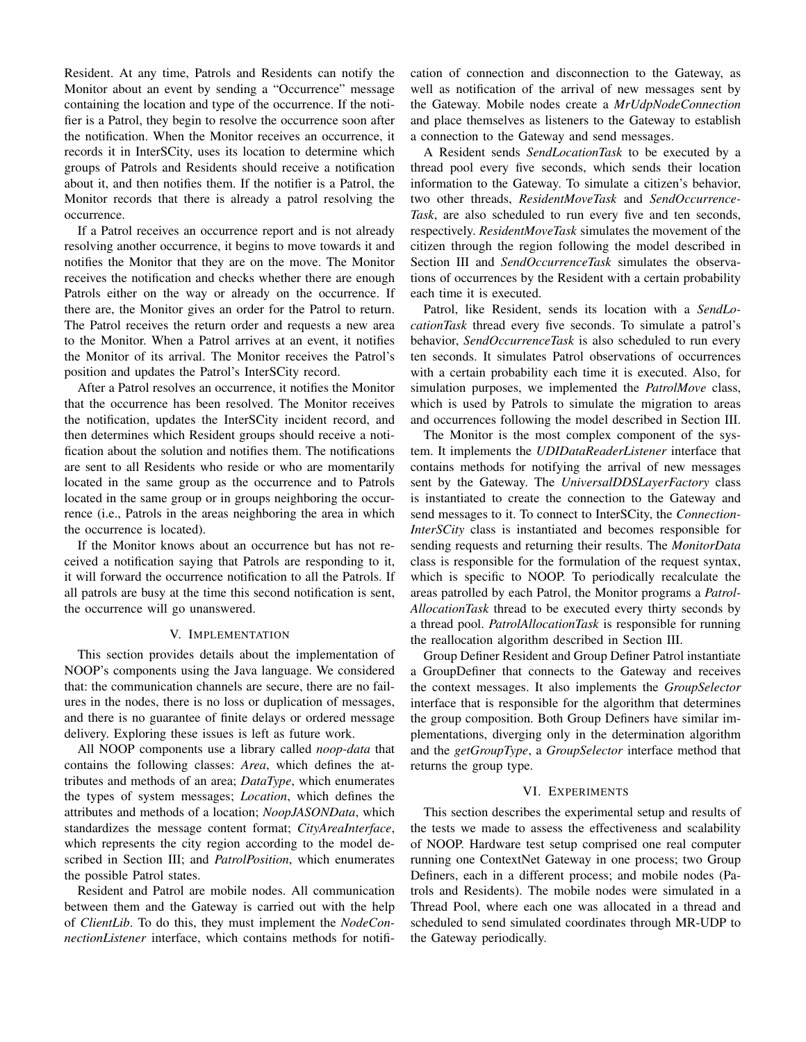Resident. At any time, Patrols and Residents can notify the Monitor about an event by sending a "Occurrence" message containing the location and type of the occurrence. If the notifier is a Patrol, they begin to resolve the occurrence soon after the notification. When the Monitor receives an occurrence, it records it in InterSCity, uses its location to determine which groups of Patrols and Residents should receive a notification about it, and then notifies them. If the notifier is a Patrol, the Monitor records that there is already a patrol resolving the occurrence.

If a Patrol receives an occurrence report and is not already resolving another occurrence, it begins to move towards it and notifies the Monitor that they are on the move. The Monitor receives the notification and checks whether there are enough Patrols either on the way or already on the occurrence. If there are, the Monitor gives an order for the Patrol to return. The Patrol receives the return order and requests a new area to the Monitor. When a Patrol arrives at an event, it notifies the Monitor of its arrival. The Monitor receives the Patrol's position and updates the Patrol's InterSCity record.

After a Patrol resolves an occurrence, it notifies the Monitor that the occurrence has been resolved. The Monitor receives the notification, updates the InterSCity incident record, and then determines which Resident groups should receive a notification about the solution and notifies them. The notifications are sent to all Residents who reside or who are momentarily located in the same group as the occurrence and to Patrols located in the same group or in groups neighboring the occurrence (i.e., Patrols in the areas neighboring the area in which the occurrence is located).

If the Monitor knows about an occurrence but has not received a notification saying that Patrols are responding to it, it will forward the occurrence notification to all the Patrols. If all patrols are busy at the time this second notification is sent, the occurrence will go unanswered.

#### V. IMPLEMENTATION

This section provides details about the implementation of NOOP's components using the Java language. We considered that: the communication channels are secure, there are no failures in the nodes, there is no loss or duplication of messages, and there is no guarantee of finite delays or ordered message delivery. Exploring these issues is left as future work.

All NOOP components use a library called *noop-data* that contains the following classes: *Area*, which defines the attributes and methods of an area; *DataType*, which enumerates the types of system messages; *Location*, which defines the attributes and methods of a location; *NoopJASONData*, which standardizes the message content format; *CityAreaInterface*, which represents the city region according to the model described in Section III; and *PatrolPosition*, which enumerates the possible Patrol states.

Resident and Patrol are mobile nodes. All communication between them and the Gateway is carried out with the help of *ClientLib*. To do this, they must implement the *NodeConnectionListener* interface, which contains methods for notification of connection and disconnection to the Gateway, as well as notification of the arrival of new messages sent by the Gateway. Mobile nodes create a *MrUdpNodeConnection* and place themselves as listeners to the Gateway to establish a connection to the Gateway and send messages.

A Resident sends *SendLocationTask* to be executed by a thread pool every five seconds, which sends their location information to the Gateway. To simulate a citizen's behavior, two other threads, *ResidentMoveTask* and *SendOccurrence-Task*, are also scheduled to run every five and ten seconds, respectively. *ResidentMoveTask* simulates the movement of the citizen through the region following the model described in Section III and *SendOccurrenceTask* simulates the observations of occurrences by the Resident with a certain probability each time it is executed.

Patrol, like Resident, sends its location with a *SendLocationTask* thread every five seconds. To simulate a patrol's behavior, *SendOccurrenceTask* is also scheduled to run every ten seconds. It simulates Patrol observations of occurrences with a certain probability each time it is executed. Also, for simulation purposes, we implemented the *PatrolMove* class, which is used by Patrols to simulate the migration to areas and occurrences following the model described in Section III.

The Monitor is the most complex component of the system. It implements the *UDIDataReaderListener* interface that contains methods for notifying the arrival of new messages sent by the Gateway. The *UniversalDDSLayerFactory* class is instantiated to create the connection to the Gateway and send messages to it. To connect to InterSCity, the *Connection-InterSCity* class is instantiated and becomes responsible for sending requests and returning their results. The *MonitorData* class is responsible for the formulation of the request syntax, which is specific to NOOP. To periodically recalculate the areas patrolled by each Patrol, the Monitor programs a *Patrol-AllocationTask* thread to be executed every thirty seconds by a thread pool. *PatrolAllocationTask* is responsible for running the reallocation algorithm described in Section III.

Group Definer Resident and Group Definer Patrol instantiate a GroupDefiner that connects to the Gateway and receives the context messages. It also implements the *GroupSelector* interface that is responsible for the algorithm that determines the group composition. Both Group Definers have similar implementations, diverging only in the determination algorithm and the *getGroupType*, a *GroupSelector* interface method that returns the group type.

## VI. EXPERIMENTS

This section describes the experimental setup and results of the tests we made to assess the effectiveness and scalability of NOOP. Hardware test setup comprised one real computer running one ContextNet Gateway in one process; two Group Definers, each in a different process; and mobile nodes (Patrols and Residents). The mobile nodes were simulated in a Thread Pool, where each one was allocated in a thread and scheduled to send simulated coordinates through MR-UDP to the Gateway periodically.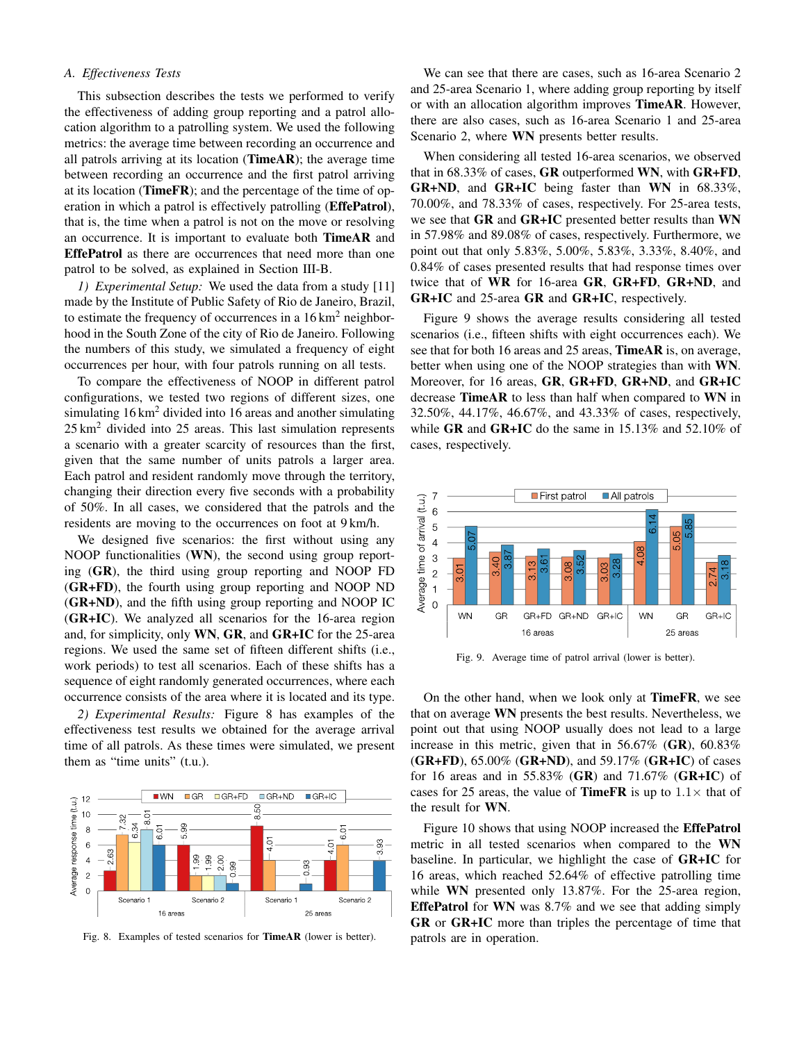# *A. Effectiveness Tests*

This subsection describes the tests we performed to verify the effectiveness of adding group reporting and a patrol allocation algorithm to a patrolling system. We used the following metrics: the average time between recording an occurrence and all patrols arriving at its location ( $TimeAR$ ); the average time between recording an occurrence and the first patrol arriving at its location (TimeFR); and the percentage of the time of operation in which a patrol is effectively patrolling (**EffePatrol**), that is, the time when a patrol is not on the move or resolving an occurrence. It is important to evaluate both TimeAR and EffePatrol as there are occurrences that need more than one patrol to be solved, as explained in Section III-B.

*1) Experimental Setup:* We used the data from a study [11] made by the Institute of Public Safety of Rio de Janeiro, Brazil, to estimate the frequency of occurrences in a  $16 \text{ km}^2$  neighborhood in the South Zone of the city of Rio de Janeiro. Following the numbers of this study, we simulated a frequency of eight occurrences per hour, with four patrols running on all tests.

To compare the effectiveness of NOOP in different patrol configurations, we tested two regions of different sizes, one simulating  $16 \text{ km}^2$  divided into 16 areas and another simulating  $25 \text{ km}^2$  divided into 25 areas. This last simulation represents a scenario with a greater scarcity of resources than the first, given that the same number of units patrols a larger area. Each patrol and resident randomly move through the territory, changing their direction every five seconds with a probability of 50%. In all cases, we considered that the patrols and the residents are moving to the occurrences on foot at 9 km/h.

We designed five scenarios: the first without using any NOOP functionalities (WN), the second using group reporting (GR), the third using group reporting and NOOP FD (GR+FD), the fourth using group reporting and NOOP ND (GR+ND), and the fifth using group reporting and NOOP IC (GR+IC). We analyzed all scenarios for the 16-area region and, for simplicity, only WN, GR, and GR+IC for the 25-area regions. We used the same set of fifteen different shifts (i.e., work periods) to test all scenarios. Each of these shifts has a sequence of eight randomly generated occurrences, where each occurrence consists of the area where it is located and its type.

*2) Experimental Results:* Figure 8 has examples of the effectiveness test results we obtained for the average arrival time of all patrols. As these times were simulated, we present them as "time units" (t.u.).



Fig. 8. Examples of tested scenarios for TimeAR (lower is better).

We can see that there are cases, such as 16-area Scenario 2 and 25-area Scenario 1, where adding group reporting by itself or with an allocation algorithm improves **TimeAR**. However, there are also cases, such as 16-area Scenario 1 and 25-area Scenario 2, where WN presents better results.

When considering all tested 16-area scenarios, we observed that in 68.33% of cases, GR outperformed WN, with GR+FD, GR+ND, and GR+IC being faster than WN in 68.33%, 70.00%, and 78.33% of cases, respectively. For 25-area tests, we see that GR and GR+IC presented better results than WN in 57.98% and 89.08% of cases, respectively. Furthermore, we point out that only 5.83%, 5.00%, 5.83%, 3.33%, 8.40%, and 0.84% of cases presented results that had response times over twice that of WR for 16-area GR, GR+FD, GR+ND, and GR+IC and 25-area GR and GR+IC, respectively.

Figure 9 shows the average results considering all tested scenarios (i.e., fifteen shifts with eight occurrences each). We see that for both 16 areas and 25 areas, TimeAR is, on average, better when using one of the NOOP strategies than with WN. Moreover, for 16 areas, GR, GR+FD, GR+ND, and GR+IC decrease TimeAR to less than half when compared to WN in 32.50%, 44.17%, 46.67%, and 43.33% of cases, respectively, while GR and GR+IC do the same in 15.13% and 52.10% of cases, respectively.



Fig. 9. Average time of patrol arrival (lower is better).

On the other hand, when we look only at TimeFR, we see that on average WN presents the best results. Nevertheless, we point out that using NOOP usually does not lead to a large increase in this metric, given that in 56.67% (GR), 60.83%  $(GR+FD)$ , 65.00%  $(GR+ND)$ , and 59.17%  $(GR+IC)$  of cases for 16 areas and in 55.83% (GR) and 71.67% (GR+IC) of cases for 25 areas, the value of **TimeFR** is up to  $1.1 \times$  that of the result for WN.

Figure 10 shows that using NOOP increased the **EffePatrol** metric in all tested scenarios when compared to the WN baseline. In particular, we highlight the case of GR+IC for 16 areas, which reached 52.64% of effective patrolling time while WN presented only 13.87%. For the 25-area region, EffePatrol for WN was 8.7% and we see that adding simply GR or GR+IC more than triples the percentage of time that patrols are in operation.